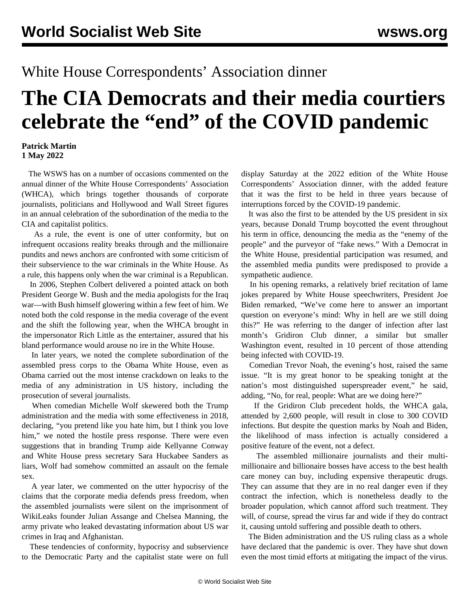## White House Correspondents' Association dinner

## **The CIA Democrats and their media courtiers celebrate the "end" of the COVID pandemic**

## **Patrick Martin 1 May 2022**

 The WSWS has on a number of occasions commented on the annual dinner of the White House Correspondents' Association (WHCA), which brings together thousands of corporate journalists, politicians and Hollywood and Wall Street figures in an annual celebration of the subordination of the media to the CIA and capitalist politics.

 As a rule, the event is one of utter conformity, but on infrequent occasions reality breaks through and the millionaire pundits and news anchors are confronted with some criticism of their subservience to the war criminals in the White House. As a rule, this happens only when the war criminal is a Republican.

 In 2006, Stephen Colbert delivered a [pointed attack](/en/articles/2006/05/colb-m05.html) on both President George W. Bush and the media apologists for the Iraq war—with Bush himself glowering within a few feet of him. We noted both the cold response in the media coverage of the event and the shift the following year, when the WHCA brought in the impersonator [Rich Little](/en/articles/2007/01/litt-j25.html) as the entertainer, assured that his bland performance would arouse no ire in the White House.

 In later years, we noted the complete subordination of the assembled press corps to the Obama White House, even as Obama carried out the most [intense c](/en/articles/2015/04/27/dinn-a27.html)rackdown on leaks to the media of any administration in US history, including the prosecution of several journalists.

 When comedian [Michelle Wolf](/en/articles/2018/05/01/wolf-m01.html) skewered both the Trump administration and the media with some effectiveness in 2018, declaring, "you pretend like you hate him, but I think you love him," we noted the hostile press response. There were even suggestions that in branding Trump aide Kellyanne Conway and White House press secretary Sara Huckabee Sanders as liars, Wolf had somehow committed an assault on the female sex.

 A year later, we commented on the utter hypocrisy of the claims that the corporate media defends press freedom, when the assembled journalists were [silent on the imprisonment](/en/articles/2019/04/29/whcd-a29.html) of WikiLeaks founder Julian Assange and Chelsea Manning, the army private who leaked devastating information about US war crimes in Iraq and Afghanistan.

 These tendencies of conformity, hypocrisy and subservience to the Democratic Party and the capitalist state were on full

display Saturday at the 2022 edition of the White House Correspondents' Association dinner, with the added feature that it was the first to be held in three years because of interruptions forced by the COVID-19 pandemic.

 It was also the first to be attended by the US president in six years, because Donald Trump boycotted the event throughout his term in office, denouncing the media as the "enemy of the people" and the purveyor of "fake news." With a Democrat in the White House, presidential participation was resumed, and the assembled media pundits were predisposed to provide a sympathetic audience.

 In his opening remarks, a relatively brief recitation of lame jokes prepared by White House speechwriters, President Joe Biden remarked, "We've come here to answer an important question on everyone's mind: Why in hell are we still doing this?" He was referring to the danger of infection after last month's Gridiron Club dinner, a similar but smaller Washington event, resulted in 10 percent of those attending being infected with COVID-19.

 Comedian Trevor Noah, the evening's host, raised the same issue. "It is my great honor to be speaking tonight at the nation's most distinguished superspreader event," he said, adding, "No, for real, people: What are we doing here?"

 If the Gridiron Club precedent holds, the WHCA gala, attended by 2,600 people, will result in close to 300 COVID infections. But despite the question marks by Noah and Biden, the likelihood of mass infection is actually considered a positive feature of the event, not a defect.

 The assembled millionaire journalists and their multimillionaire and billionaire bosses have access to the best health care money can buy, including expensive therapeutic drugs. They can assume that they are in no real danger even if they contract the infection, which is nonetheless deadly to the broader population, which cannot afford such treatment. They will, of course, spread the virus far and wide if they do contract it, causing untold suffering and possible death to others.

 The Biden administration and the US ruling class as a whole have declared that the pandemic is over. They have shut down even the most timid efforts at mitigating the impact of the virus.